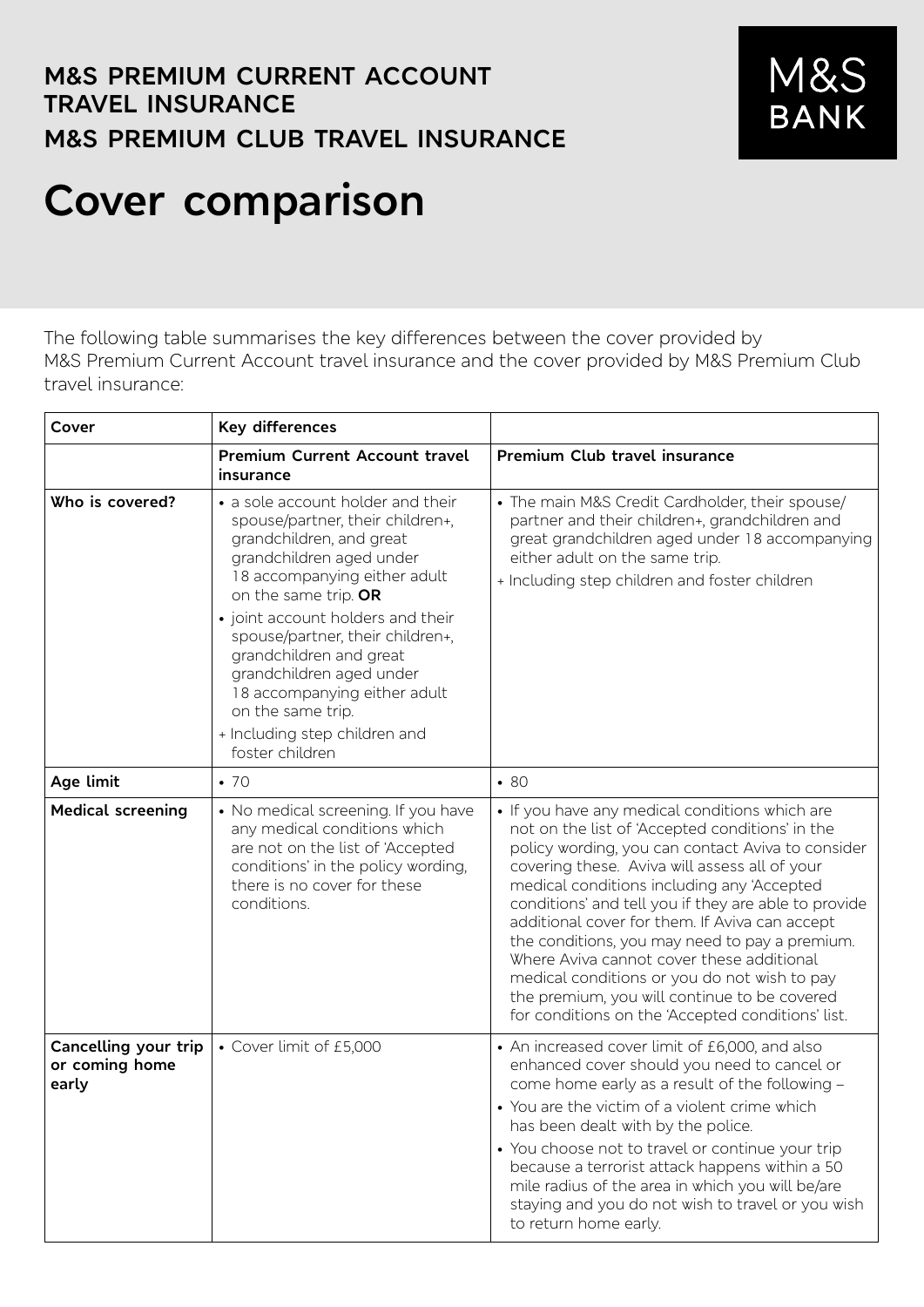## **M&S PREMIUM CURRENT ACCOUNT TRAVEL INSURANCE M&S PREMIUM CLUB TRAVEL INSURANCE**



## **Cover comparison**

The following table summarises the key differences between the cover provided by M&S Premium Current Account travel insurance and the cover provided by M&S Premium Club travel insurance:

| Cover                                           | Key differences                                                                                                                                                                                                                                                                                                                                                                                                                |                                                                                                                                                                                                                                                                                                                                                                                                                                                                                                                                                                                                                     |
|-------------------------------------------------|--------------------------------------------------------------------------------------------------------------------------------------------------------------------------------------------------------------------------------------------------------------------------------------------------------------------------------------------------------------------------------------------------------------------------------|---------------------------------------------------------------------------------------------------------------------------------------------------------------------------------------------------------------------------------------------------------------------------------------------------------------------------------------------------------------------------------------------------------------------------------------------------------------------------------------------------------------------------------------------------------------------------------------------------------------------|
|                                                 | <b>Premium Current Account travel</b><br>insurance                                                                                                                                                                                                                                                                                                                                                                             | Premium Club travel insurance                                                                                                                                                                                                                                                                                                                                                                                                                                                                                                                                                                                       |
| Who is covered?                                 | • a sole account holder and their<br>spouse/partner, their children+,<br>grandchildren, and great<br>grandchildren aged under<br>18 accompanying either adult<br>on the same trip. OR<br>• joint account holders and their<br>spouse/partner, their children+,<br>grandchildren and great<br>grandchildren aged under<br>18 accompanying either adult<br>on the same trip.<br>+ Including step children and<br>foster children | • The main M&S Credit Cardholder, their spouse/<br>partner and their children+, grandchildren and<br>great grandchildren aged under 18 accompanying<br>either adult on the same trip.<br>+ Including step children and foster children                                                                                                                                                                                                                                                                                                                                                                              |
| Age limit                                       | $\bullet$ 70                                                                                                                                                                                                                                                                                                                                                                                                                   | • 80                                                                                                                                                                                                                                                                                                                                                                                                                                                                                                                                                                                                                |
| <b>Medical screening</b>                        | • No medical screening. If you have<br>any medical conditions which<br>are not on the list of 'Accepted<br>conditions' in the policy wording,<br>there is no cover for these<br>conditions.                                                                                                                                                                                                                                    | • If you have any medical conditions which are<br>not on the list of 'Accepted conditions' in the<br>policy wording, you can contact Aviva to consider<br>covering these. Aviva will assess all of your<br>medical conditions including any 'Accepted<br>conditions' and tell you if they are able to provide<br>additional cover for them. If Aviva can accept<br>the conditions, you may need to pay a premium.<br>Where Aviva cannot cover these additional<br>medical conditions or you do not wish to pay<br>the premium, you will continue to be covered<br>for conditions on the 'Accepted conditions' list. |
| Cancelling your trip<br>or coming home<br>early | • Cover limit of £5,000                                                                                                                                                                                                                                                                                                                                                                                                        | • An increased cover limit of £6,000, and also<br>enhanced cover should you need to cancel or<br>come home early as a result of the following -<br>• You are the victim of a violent crime which<br>has been dealt with by the police.<br>• You choose not to travel or continue your trip<br>because a terrorist attack happens within a 50<br>mile radius of the area in which you will be/are<br>staying and you do not wish to travel or you wish<br>to return home early.                                                                                                                                      |